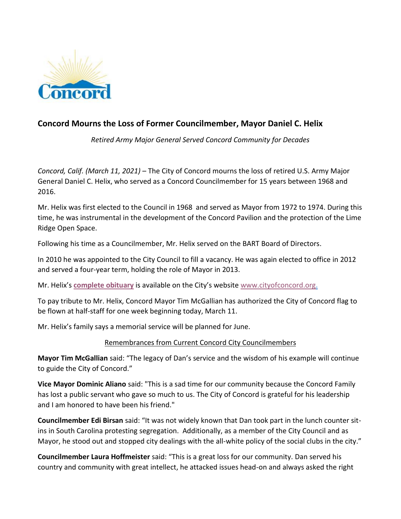

## **Concord Mourns the Loss of Former Councilmember, Mayor Daniel C. Helix**

*Retired Army Major General Served Concord Community for Decades*

*Concord, Calif. (March 11, 2021)* – The City of Concord mourns the loss of retired U.S. Army Major General Daniel C. Helix, who served as a Concord Councilmember for 15 years between 1968 and 2016.

Mr. Helix was first elected to the Council in 1968 and served as Mayor from 1972 to 1974. During this time, he was instrumental in the development of the Concord Pavilion and the protection of the Lime Ridge Open Space.

Following his time as a Councilmember, Mr. Helix served on the BART Board of Directors.

In 2010 he was appointed to the City Council to fill a vacancy. He was again elected to office in 2012 and served a four-year term, holding the role of Mayor in 2013.

Mr. Helix's **[complete obituary](https://www.cityofconcord.org/DocumentCenter/View/5886/Obituary-of-Daniel-C-Helix)** is available on the City's website [www.cityofconcord.org.](http://www.cityofconcord.org/)

To pay tribute to Mr. Helix, Concord Mayor Tim McGallian has authorized the City of Concord flag to be flown at half-staff for one week beginning today, March 11.

Mr. Helix's family says a memorial service will be planned for June.

## Remembrances from Current Concord City Councilmembers

**Mayor Tim McGallian** said: "The legacy of Dan's service and the wisdom of his example will continue to guide the City of Concord."

**Vice Mayor Dominic Aliano** said: "This is a sad time for our community because the Concord Family has lost a public servant who gave so much to us. The City of Concord is grateful for his leadership and I am honored to have been his friend."

**Councilmember Edi Birsan** said: "It was not widely known that Dan took part in the lunch counter sitins in South Carolina protesting segregation. Additionally, as a member of the City Council and as Mayor, he stood out and stopped city dealings with the all-white policy of the social clubs in the city."

**Councilmember Laura Hoffmeister** said: "This is a great loss for our community. Dan served his country and community with great intellect, he attacked issues head-on and always asked the right